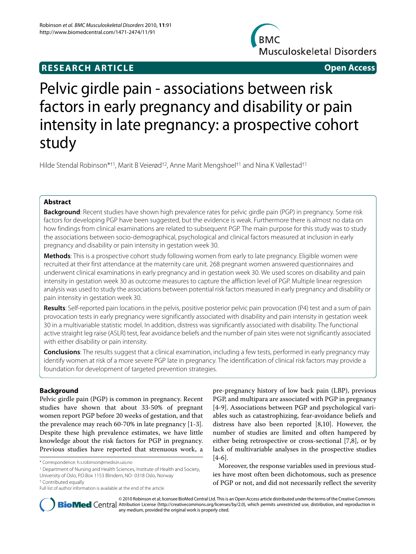# **RESEARCH ARTICLE Open Access**



# Pelvic girdle pain - associations between risk factors in early pregnancy and disability or pain intensity in late pregnancy: a prospective cohort study

Hilde Stendal Robinson\*†1, Marit B Veierød†2, Anne Marit Mengshoel†1 and Nina K Vøllestad†1

# **Abstract**

**Background**: Recent studies have shown high prevalence rates for pelvic girdle pain (PGP) in pregnancy. Some risk factors for developing PGP have been suggested, but the evidence is weak. Furthermore there is almost no data on how findings from clinical examinations are related to subsequent PGP. The main purpose for this study was to study the associations between socio-demographical, psychological and clinical factors measured at inclusion in early pregnancy and disability or pain intensity in gestation week 30.

**Methods**: This is a prospective cohort study following women from early to late pregnancy. Eligible women were recruited at their first attendance at the maternity care unit. 268 pregnant women answered questionnaires and underwent clinical examinations in early pregnancy and in gestation week 30. We used scores on disability and pain intensity in gestation week 30 as outcome measures to capture the affliction level of PGP. Multiple linear regression analysis was used to study the associations between potential risk factors measured in early pregnancy and disability or pain intensity in gestation week 30.

**Results**: Self-reported pain locations in the pelvis, positive posterior pelvic pain provocation (P4) test and a sum of pain provocation tests in early pregnancy were significantly associated with disability and pain intensity in gestation week 30 in a multivariable statistic model. In addition, distress was significantly associated with disability. The functional active straight leg raise (ASLR) test, fear avoidance beliefs and the number of pain sites were not significantly associated with either disability or pain intensity.

**Conclusions**: The results suggest that a clinical examination, including a few tests, performed in early pregnancy may identify women at risk of a more severe PGP late in pregnancy. The identification of clinical risk factors may provide a foundation for development of targeted prevention strategies.

# **Background**

Pelvic girdle pain (PGP) is common in pregnancy. Recent studies have shown that about 33-50% of pregnant women report PGP before 20 weeks of gestation, and that the prevalence may reach 60-70% in late pregnancy [[1-](#page-10-0)[3](#page-10-1)]. Despite these high prevalence estimates, we have little knowledge about the risk factors for PGP in pregnancy. Previous studies have reported that strenuous work, a

pre-pregnancy history of low back pain (LBP), previous PGP, and multipara are associated with PGP in pregnancy [[4](#page-10-2)[-9](#page-10-3)]. Associations between PGP and psychological variables such as catastrophizing, fear-avoidance beliefs and distress have also been reported [\[8](#page-10-4),[10](#page-10-5)]. However, the number of studies are limited and often hampered by either being retrospective or cross-sectional [[7](#page-10-6),[8\]](#page-10-4), or by lack of multivariable analyses in the prospective studies [[4](#page-10-2)[-6](#page-10-7)].

Moreover, the response variables used in previous studies have most often been dichotomous, such as presence of PGP or not, and did not necessarily reflect the severity



© 2010 Robinson et al; licensee BioMed Central Ltd. This is an Open Access article distributed under the terms of the Creative Commons **Bio Med** Central Attribution License (http://creativecommons.org/licenses/by/2.0), which permits unrestricted use, distribution, and reproduction in any medium, provided the original work is properly cited.

<sup>\*</sup> Correspondence: h.s.robinson@medisin.uio.no

<sup>&</sup>lt;sup>1</sup> Department of Nursing and Health Sciences, Institute of Health and Society, University of Oslo, P.O.Box 1153 Blindern, NO- 0318 Oslo, Norway

<sup>†</sup> Contributed equally

Full list of author information is available at the end of the article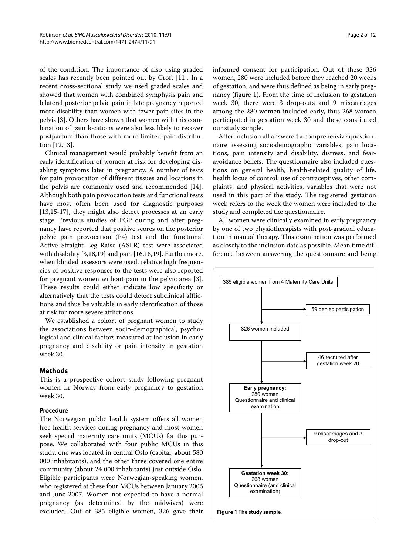of the condition. The importance of also using graded scales has recently been pointed out by Croft [[11\]](#page-10-8). In a recent cross-sectional study we used graded scales and showed that women with combined symphysis pain and bilateral posterior pelvic pain in late pregnancy reported more disability than women with fewer pain sites in the pelvis [[3\]](#page-10-1). Others have shown that women with this combination of pain locations were also less likely to recover postpartum than those with more limited pain distribution [[12](#page-10-9),[13\]](#page-10-10).

Clinical management would probably benefit from an early identification of women at risk for developing disabling symptoms later in pregnancy. A number of tests for pain provocation of different tissues and locations in the pelvis are commonly used and recommended [\[14](#page-10-11)]. Although both pain provocation tests and functional tests have most often been used for diagnostic purposes [[13,](#page-10-10)[15](#page-10-12)[-17](#page-10-13)], they might also detect processes at an early stage. Previous studies of PGP during and after pregnancy have reported that positive scores on the posterior pelvic pain provocation (P4) test and the functional Active Straight Leg Raise (ASLR) test were associated with disability [\[3](#page-10-1)[,18](#page-10-14)[,19](#page-10-15)] and pain [\[16](#page-10-16)[,18](#page-10-14)[,19](#page-10-15)]. Furthermore, when blinded assessors were used, relative high frequencies of positive responses to the tests were also reported for pregnant women without pain in the pelvic area [\[3](#page-10-1)]. These results could either indicate low specificity or alternatively that the tests could detect subclinical afflictions and thus be valuable in early identification of those at risk for more severe afflictions.

We established a cohort of pregnant women to study the associations between socio-demographical, psychological and clinical factors measured at inclusion in early pregnancy and disability or pain intensity in gestation week 30.

# **Methods**

This is a prospective cohort study following pregnant women in Norway from early pregnancy to gestation week 30.

#### **Procedure**

The Norwegian public health system offers all women free health services during pregnancy and most women seek special maternity care units (MCUs) for this purpose. We collaborated with four public MCUs in this study, one was located in central Oslo (capital, about 580 000 inhabitants), and the other three covered one entire community (about 24 000 inhabitants) just outside Oslo. Eligible participants were Norwegian-speaking women, who registered at these four MCUs between January 2006 and June 2007. Women not expected to have a normal pregnancy (as determined by the midwives) were excluded. Out of 385 eligible women, 326 gave their informed consent for participation. Out of these 326 women, 280 were included before they reached 20 weeks of gestation, and were thus defined as being in early pregnancy (figure [1](#page-1-0)). From the time of inclusion to gestation week 30, there were 3 drop-outs and 9 miscarriages among the 280 women included early, thus 268 women participated in gestation week 30 and these constituted our study sample.

After inclusion all answered a comprehensive questionnaire assessing sociodemographic variables, pain locations, pain intensity and disability, distress, and fearavoidance beliefs. The questionnaire also included questions on general health, health-related quality of life, health locus of control, use of contraceptives, other complaints, and physical activities, variables that were not used in this part of the study. The registered gestation week refers to the week the women were included to the study and completed the questionnaire.

All women were clinically examined in early pregnancy by one of two physiotherapists with post-gradual education in manual therapy. This examination was performed as closely to the inclusion date as possible. Mean time difference between answering the questionnaire and being

<span id="page-1-0"></span>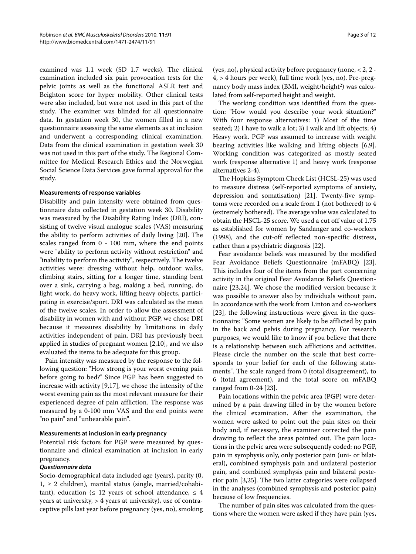examined was 1.1 week (SD 1.7 weeks). The clinical examination included six pain provocation tests for the pelvic joints as well as the functional ASLR test and Beighton score for hyper mobility. Other clinical tests were also included, but were not used in this part of the study. The examiner was blinded for all questionnaire data. In gestation week 30, the women filled in a new questionnaire assessing the same elements as at inclusion and underwent a corresponding clinical examination. Data from the clinical examination in gestation week 30 was not used in this part of the study. The Regional Committee for Medical Research Ethics and the Norwegian Social Science Data Services gave formal approval for the study.

#### **Measurements of response variables**

Disability and pain intensity were obtained from questionnaire data collected in gestation week 30. Disability was measured by the Disability Rating Index (DRI), consisting of twelve visual analogue scales (VAS) measuring the ability to perform activities of daily living [\[20](#page-10-17)]. The scales ranged from 0 - 100 mm, where the end points were "ability to perform activity without restriction" and "inability to perform the activity", respectively. The twelve activities were: dressing without help, outdoor walks, climbing stairs, sitting for a longer time, standing bent over a sink, carrying a bag, making a bed, running, do light work, do heavy work, lifting heavy objects, participating in exercise/sport. DRI was calculated as the mean of the twelve scales. In order to allow the assessment of disability in women with and without PGP, we chose DRI because it measures disability by limitations in daily activities independent of pain. DRI has previously been applied in studies of pregnant women [[2](#page-10-18),[10](#page-10-5)], and we also evaluated the items to be adequate for this group.

Pain intensity was measured by the response to the following question: "How strong is your worst evening pain before going to bed?" Since PGP has been suggested to increase with activity [\[9](#page-10-3)[,17](#page-10-13)], we chose the intensity of the worst evening pain as the most relevant measure for their experienced degree of pain affliction. The response was measured by a 0-100 mm VAS and the end points were "no pain" and "unbearable pain".

#### **Measurements at inclusion in early pregnancy**

Potential risk factors for PGP were measured by questionnaire and clinical examination at inclusion in early pregnancy.

#### *Questionnaire data*

Socio-demographical data included age (years), parity (0,  $1, \geq 2$  children), marital status (single, married/cohabitant), education ( $\leq 12$  years of school attendance,  $\leq 4$ years at university, > 4 years at university), use of contraceptive pills last year before pregnancy (yes, no), smoking

(yes, no), physical activity before pregnancy (none, < 2, 2 - 4, > 4 hours per week), full time work (yes, no). Pre-pregnancy body mass index (BMI, weight/height<sup>2</sup>) was calculated from self-reported height and weight.

The working condition was identified from the question: "How would you describe your work situation?" With four response alternatives: 1) Most of the time seated; 2) I have to walk a lot; 3) I walk and lift objects; 4) Heavy work. PGP was assumed to increase with weight bearing activities like walking and lifting objects [\[6](#page-10-7)[,9](#page-10-3)]. Working condition was categorized as mostly seated work (response alternative 1) and heavy work (response alternatives 2-4).

The Hopkins Symptom Check List (HCSL-25) was used to measure distress (self-reported symptoms of anxiety, depression and somatisation) [[21](#page-10-19)]. Twenty-five symptoms were recorded on a scale from 1 (not bothered) to 4 (extremely bothered). The average value was calculated to obtain the HSCL-25 score. We used a cut off value of 1.75 as established for women by Sandanger and co-workers (1998), and the cut-off reflected non-specific distress, rather than a psychiatric diagnosis [\[22\]](#page-10-20).

Fear avoidance beliefs was measured by the modified Fear Avoidance Beliefs Questionnaire (mFABQ) [\[23](#page-10-21)]. This includes four of the items from the part concerning activity in the original Fear Avoidance Beliefs Questionnaire [\[23,](#page-10-21)[24\]](#page-10-22). We chose the modified version because it was possible to answer also by individuals without pain. In accordance with the work from Linton and co-workers [[23\]](#page-10-21), the following instructions were given in the questionnaire: "Some women are likely to be afflicted by pain in the back and pelvis during pregnancy. For research purposes, we would like to know if you believe that there is a relationship between such afflictions and activities. Please circle the number on the scale that best corresponds to your belief for each of the following statements". The scale ranged from 0 (total disagreement), to 6 (total agreement), and the total score on mFABQ ranged from 0-24 [\[23](#page-10-21)].

Pain locations within the pelvic area (PGP) were determined by a pain drawing filled in by the women before the clinical examination. After the examination, the women were asked to point out the pain sites on their body and, if necessary, the examiner corrected the pain drawing to reflect the areas pointed out. The pain locations in the pelvic area were subsequently coded: no PGP, pain in symphysis only, only posterior pain (uni- or bilateral), combined symphysis pain and unilateral posterior pain, and combined symphysis pain and bilateral posterior pain [[3,](#page-10-1)[25\]](#page-10-23). The two latter categories were collapsed in the analyses (combined symphysis and posterior pain) because of low frequencies.

The number of pain sites was calculated from the questions where the women were asked if they have pain (yes,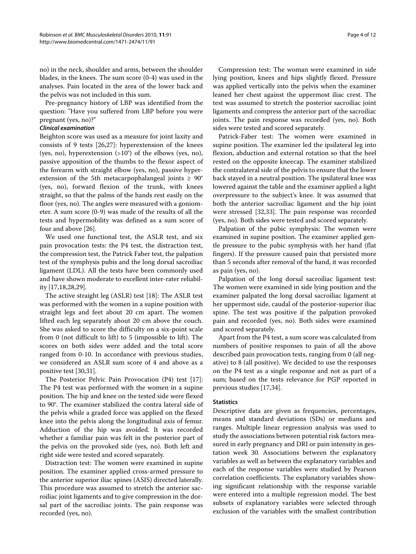no) in the neck, shoulder and arms, between the shoulder blades, in the knees. The sum score (0-4) was used in the analyses. Pain located in the area of the lower back and the pelvis was not included in this sum.

Pre-pregnancy history of LBP was identified from the question: "Have you suffered from LBP before you were pregnant (yes, no)?"

# *Clinical examination*

Beighton score was used as a measure for joint laxity and consists of 9 tests [\[26,](#page-10-24)[27\]](#page-10-25): hyperextension of the knees (yes, no), hyperextension (>10°) of the elbows (yes, no), passive apposition of the thumbs to the flexor aspect of the forearm with straight elbow (yes, no), passive hyperextension of the 5th metacarpophalangeal joints  $\geq 90^{\circ}$ (yes, no), forward flexion of the trunk, with knees straight, so that the palms of the hands rest easily on the floor (yes, no). The angles were measured with a goniometer. A sum score (0-9) was made of the results of all the tests and hypermobility was defined as a sum score of four and above [[26\]](#page-10-24).

We used one functional test, the ASLR test, and six pain provocation tests: the P4 test, the distraction test, the compression test, the Patrick Faber test, the palpation test of the symphysis pubis and the long dorsal sacroiliac ligament (LDL). All the tests have been commonly used and have shown moderate to excellent inter-rater reliability [[17](#page-10-13),[18](#page-10-14),[28](#page-10-26),[29\]](#page-10-27).

The active straight leg (ASLR) test [\[18](#page-10-14)]: The ASLR test was performed with the women in a supine position with straight legs and feet about 20 cm apart. The women lifted each leg separately about 20 cm above the couch. She was asked to score the difficulty on a six-point scale from 0 (not difficult to lift) to 5 (impossible to lift). The scores on both sides were added and the total score ranged from 0-10. In accordance with previous studies, we considered an ASLR sum score of 4 and above as a positive test [\[30](#page-10-28)[,31\]](#page-10-29).

The Posterior Pelvic Pain Provocation (P4) test [\[17](#page-10-13)]: The P4 test was performed with the women in a supine position. The hip and knee on the tested side were flexed to 90°. The examiner stabilized the contra lateral side of the pelvis while a graded force was applied on the flexed knee into the pelvis along the longitudinal axis of femur. Adduction of the hip was avoided. It was recorded whether a familiar pain was felt in the posterior part of the pelvis on the provoked side (yes, no). Both left and right side were tested and scored separately.

Distraction test: The women were examined in supine position. The examiner applied cross-armed pressure to the anterior superior iliac spines (ASIS) directed laterally. This procedure was assumed to stretch the anterior sacroiliac joint ligaments and to give compression in the dorsal part of the sacroiliac joints. The pain response was recorded (yes, no).

Compression test: The woman were examined in side lying position, knees and hips slightly flexed. Pressure was applied vertically into the pelvis when the examiner leaned her chest against the uppermost iliac crest. The test was assumed to stretch the posterior sacroiliac joint ligaments and compress the anterior part of the sacroiliac joints. The pain response was recorded (yes, no). Both sides were tested and scored separately.

Patrick-Faber test: The women were examined in supine position. The examiner led the ipsilateral leg into flexion, abduction and external rotation so that the heel rested on the opposite kneecap. The examiner stabilized the contralateral side of the pelvis to ensure that the lower back stayed in a neutral position. The ipsilateral knee was lowered against the table and the examiner applied a light overpressure to the subject's knee. It was assumed that both the anterior sacroiliac ligament and the hip joint were stressed [\[32](#page-10-30)[,33](#page-10-31)]. The pain response was recorded (yes, no). Both sides were tested and scored separately.

Palpation of the pubic symphysis: The women were examined in supine position. The examiner applied gentle pressure to the pubic symphysis with her hand (flat fingers). If the pressure caused pain that persisted more than 5 seconds after removal of the hand, it was recorded as pain (yes, no).

Palpation of the long dorsal sacroiliac ligament test: The women were examined in side lying position and the examiner palpated the long dorsal sacroiliac ligament at her uppermost side, caudal of the posterior-superior iliac spine. The test was positive if the palpation provoked pain and recorded (yes, no). Both sides were examined and scored separately.

Apart from the P4 test, a sum score was calculated from numbers of positive responses to pain of all the above described pain provocation tests, ranging from 0 (all negative) to 8 (all positive). We decided to use the responses on the P4 test as a single response and not as part of a sum; based on the tests relevance for PGP reported in previous studies [\[17](#page-10-13)[,34](#page-10-32)].

# **Statistics**

Descriptive data are given as frequencies, percentages, means and standard deviations (SDs) or medians and ranges. Multiple linear regression analysis was used to study the associations between potential risk factors measured in early pregnancy and DRI or pain intensity in gestation week 30. Associations between the explanatory variables as well as between the explanatory variables and each of the response variables were studied by Pearson correlation coefficients. The explanatory variables showing significant relationship with the response variable were entered into a multiple regression model. The best subsets of explanatory variables were selected through exclusion of the variables with the smallest contribution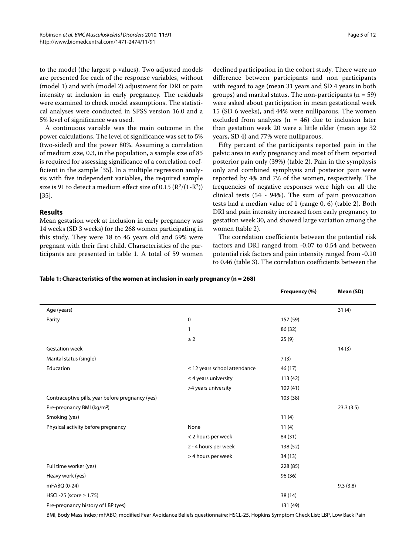to the model (the largest p-values). Two adjusted models are presented for each of the response variables, without (model 1) and with (model 2) adjustment for DRI or pain intensity at inclusion in early pregnancy. The residuals were examined to check model assumptions. The statistical analyses were conducted in SPSS version 16.0 and a 5% level of significance was used.

A continuous variable was the main outcome in the power calculations. The level of significance was set to 5% (two-sided) and the power 80%. Assuming a correlation of medium size, 0.3, in the population, a sample size of 85 is required for assessing significance of a correlation coefficient in the sample [[35\]](#page-10-33). In a multiple regression analysis with five independent variables, the required sample size is 91 to detect a medium effect size of 0.15  $(R^2/(1-R^2))$ [[35\]](#page-10-33).

# **Results**

Mean gestation week at inclusion in early pregnancy was 14 weeks (SD 3 weeks) for the 268 women participating in this study. They were 18 to 45 years old and 59% were pregnant with their first child. Characteristics of the participants are presented in table 1. A total of 59 women declined participation in the cohort study. There were no difference between participants and non participants with regard to age (mean 31 years and SD 4 years in both groups) and marital status. The non-participants ( $n = 59$ ) were asked about participation in mean gestational week 15 (SD 6 weeks), and 44% were nulliparous. The women excluded from analyses ( $n = 46$ ) due to inclusion later than gestation week 20 were a little older (mean age 32 years, SD 4) and 77% were nulliparous.

Fifty percent of the participants reported pain in the pelvic area in early pregnancy and most of them reported posterior pain only (39%) (table 2). Pain in the symphysis only and combined symphysis and posterior pain were reported by 4% and 7% of the women, respectively. The frequencies of negative responses were high on all the clinical tests (54 - 94%). The sum of pain provocation tests had a median value of 1 (range 0, 6) (table [2](#page-5-0)). Both DRI and pain intensity increased from early pregnancy to gestation week 30, and showed large variation among the women (table 2).

The correlation coefficients between the potential risk factors and DRI ranged from -0.07 to 0.54 and between potential risk factors and pain intensity ranged from -0.10 to 0.46 (table [3](#page-6-0)). The correlation coefficients between the

| Table 1: Characteristics of the women at inclusion in early pregnancy (n = 268) |
|---------------------------------------------------------------------------------|
|---------------------------------------------------------------------------------|

|                                                  |                                   | Frequency (%) | Mean (SD) |
|--------------------------------------------------|-----------------------------------|---------------|-----------|
| Age (years)                                      |                                   |               | 31(4)     |
| Parity                                           | 0                                 | 157 (59)      |           |
|                                                  | $\mathbf{1}$                      | 86 (32)       |           |
|                                                  | $\geq$ 2                          | 25(9)         |           |
| <b>Gestation week</b>                            |                                   |               | 14(3)     |
| Marital status (single)                          |                                   | 7(3)          |           |
| Education                                        | $\leq$ 12 years school attendance | 46 (17)       |           |
|                                                  | $\leq$ 4 years university         | 113(42)       |           |
|                                                  | >4 years university               | 109 (41)      |           |
| Contraceptive pills, year before pregnancy (yes) |                                   | 103 (38)      |           |
| Pre-pregnancy BMI (kg/m <sup>2</sup> )           |                                   |               | 23.3(3.5) |
| Smoking (yes)                                    |                                   | 11(4)         |           |
| Physical activity before pregnancy               | None                              | 11(4)         |           |
|                                                  | < 2 hours per week                | 84 (31)       |           |
|                                                  | 2 - 4 hours per week              | 138 (52)      |           |
|                                                  | > 4 hours per week                | 34(13)        |           |
| Full time worker (yes)                           |                                   | 228 (85)      |           |
| Heavy work (yes)                                 |                                   | 96 (36)       |           |
| mFABQ (0-24)                                     |                                   |               | 9.3(3.8)  |
| HSCL-25 (score $\geq$ 1.75)                      |                                   | 38 (14)       |           |
| Pre-pregnancy history of LBP (yes)               |                                   | 131 (49)      |           |

BMI, Body Mass Index; mFABQ, modified Fear Avoidance Beliefs questionnaire; HSCL-25, Hopkins Symptom Check List; LBP, Low Back Pain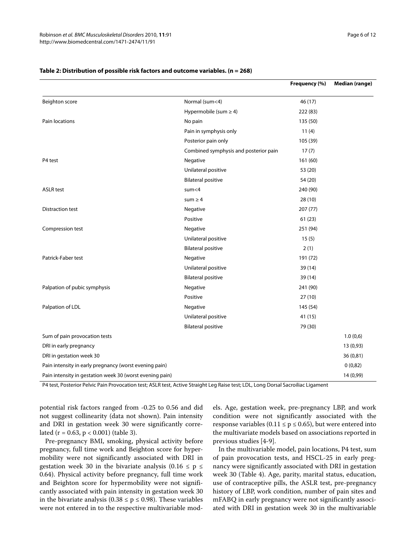|                                                                                                                                  |                                       | Frequency (%) | <b>Median (range)</b> |
|----------------------------------------------------------------------------------------------------------------------------------|---------------------------------------|---------------|-----------------------|
| Beighton score                                                                                                                   | Normal (sum<4)                        | 46 (17)       |                       |
|                                                                                                                                  | Hypermobile (sum $\geq 4$ )           | 222 (83)      |                       |
| Pain locations                                                                                                                   | No pain                               | 135 (50)      |                       |
|                                                                                                                                  | Pain in symphysis only                | 11(4)         |                       |
|                                                                                                                                  | Posterior pain only                   | 105 (39)      |                       |
|                                                                                                                                  | Combined symphysis and posterior pain | 17(7)         |                       |
| P4 test                                                                                                                          | Negative                              | 161(60)       |                       |
|                                                                                                                                  | Unilateral positive                   | 53 (20)       |                       |
|                                                                                                                                  | <b>Bilateral positive</b>             | 54 (20)       |                       |
| <b>ASLR</b> test                                                                                                                 | sum < 4                               | 240 (90)      |                       |
|                                                                                                                                  | sum $\geq$ 4                          | 28 (10)       |                       |
| Distraction test                                                                                                                 | Negative                              | 207 (77)      |                       |
|                                                                                                                                  | Positive                              | 61(23)        |                       |
| Compression test                                                                                                                 | Negative                              | 251 (94)      |                       |
|                                                                                                                                  | Unilateral positive                   | 15(5)         |                       |
|                                                                                                                                  | <b>Bilateral positive</b>             | 2(1)          |                       |
| Patrick-Faber test                                                                                                               | Negative                              | 191 (72)      |                       |
|                                                                                                                                  | Unilateral positive                   | 39(14)        |                       |
|                                                                                                                                  | <b>Bilateral positive</b>             | 39 (14)       |                       |
| Palpation of pubic symphysis                                                                                                     | Negative                              | 241 (90)      |                       |
|                                                                                                                                  | Positive                              | 27(10)        |                       |
| Palpation of LDL                                                                                                                 | Negative                              | 145 (54)      |                       |
|                                                                                                                                  | Unilateral positive                   | 41 (15)       |                       |
|                                                                                                                                  | <b>Bilateral positive</b>             | 79 (30)       |                       |
| Sum of pain provocation tests                                                                                                    |                                       |               | 1.0(0,6)              |
| DRI in early pregnancy                                                                                                           |                                       |               | 13 (0,93)             |
| DRI in gestation week 30                                                                                                         |                                       |               | 36 (0,81)             |
| Pain intensity in early pregnancy (worst evening pain)                                                                           |                                       |               | 0(0,82)               |
| Pain intensity in gestation week 30 (worst evening pain)                                                                         |                                       |               | 14 (0,99)             |
| D4 tost. Desterier Delvie Dain Dreugestion test: ACLD test. Active Ctraight Leg Daise test: LDL, Lega Dersal Caereiliae Ligament |                                       |               |                       |

# <span id="page-5-0"></span>**Table 2: Distribution of possible risk factors and outcome variables. (n = 268)**

P4 test, Posterior Pelvic Pain Provocation test; ASLR test, Active Straight Leg Raise test; LDL, Long Dorsal Sacroiliac Ligament

potential risk factors ranged from -0.25 to 0.56 and did not suggest collinearity (data not shown). Pain intensity and DRI in gestation week 30 were significantly correlated ( $r = 0.63$ ,  $p < 0.001$ ) (table 3).

Pre-pregnancy BMI, smoking, physical activity before pregnancy, full time work and Beighton score for hypermobility were not significantly associated with DRI in gestation week 30 in the bivariate analysis (0.16  $\leq$  p  $\leq$ 0.64). Physical activity before pregnancy, full time work and Beighton score for hypermobility were not significantly associated with pain intensity in gestation week 30 in the bivariate analysis (0.38  $\leq$  p  $\leq$  0.98). These variables were not entered in to the respective multivariable mod-

els. Age, gestation week, pre-pregnancy LBP, and work condition were not significantly associated with the response variables (0.11  $\leq$  p  $\leq$  0.65), but were entered into the multivariate models based on associations reported in previous studies [\[4](#page-10-2)-[9\]](#page-10-3).

In the multivariable model, pain locations, P4 test, sum of pain provocation tests, and HSCL-25 in early pregnancy were significantly associated with DRI in gestation week 30 (Table 4). Age, parity, marital status, education, use of contraceptive pills, the ASLR test, pre-pregnancy history of LBP, work condition, number of pain sites and mFABQ in early pregnancy were not significantly associated with DRI in gestation week 30 in the multivariable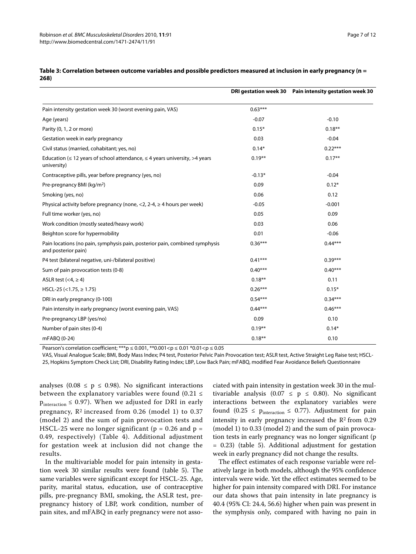|                                                                                                         |           | DRI gestation week 30 Pain intensity gestation week 30 |
|---------------------------------------------------------------------------------------------------------|-----------|--------------------------------------------------------|
| Pain intensity gestation week 30 (worst evening pain, VAS)                                              | $0.63***$ |                                                        |
| Age (years)                                                                                             | $-0.07$   | $-0.10$                                                |
| Parity (0, 1, 2 or more)                                                                                | $0.15*$   | $0.18***$                                              |
| Gestation week in early pregnancy                                                                       | 0.03      | $-0.04$                                                |
| Civil status (married, cohabitant; yes, no)                                                             | $0.14*$   | $0.22***$                                              |
| Education ( $\leq$ 12 years of school attendance, $\leq$ 4 years university, $>$ 4 years<br>university) | $0.19***$ | $0.17***$                                              |
| Contraceptive pills, year before pregnancy (yes, no)                                                    | $-0.13*$  | $-0.04$                                                |
| Pre-pregnancy BMI (kg/m <sup>2</sup> )                                                                  | 0.09      | $0.12*$                                                |
| Smoking (yes, no)                                                                                       | 0.06      | 0.12                                                   |
| Physical activity before pregnancy (none, <2, 2-4, $\geq$ 4 hours per week)                             | $-0.05$   | $-0.001$                                               |
| Full time worker (yes, no)                                                                              | 0.05      | 0.09                                                   |
| Work condition (mostly seated/heavy work)                                                               | 0.03      | 0.06                                                   |
| Beighton score for hypermobility                                                                        | 0.01      | $-0.06$                                                |
| Pain locations (no pain, symphysis pain, posterior pain, combined symphysis<br>and posterior pain)      | $0.36***$ | $0.44***$                                              |
| P4 test (bilateral negative, uni-/bilateral positive)                                                   | $0.41***$ | $0.39***$                                              |
| Sum of pain provocation tests (0-8)                                                                     | $0.40***$ | $0.40***$                                              |
| ASLR test ( $<$ 4, $\ge$ 4)                                                                             | $0.18***$ | 0.11                                                   |
| HSCL-25 (<1.75, $\geq$ 1.75)                                                                            | $0.26***$ | $0.15*$                                                |
| DRI in early pregnancy (0-100)                                                                          | $0.54***$ | $0.34***$                                              |
| Pain intensity in early pregnancy (worst evening pain, VAS)                                             | $0.44***$ | $0.46***$                                              |
| Pre-pregnancy LBP (yes/no)                                                                              | 0.09      | 0.10                                                   |
| Number of pain sites (0-4)                                                                              | $0.19***$ | $0.14*$                                                |
| mFABQ (0-24)                                                                                            | $0.18**$  | 0.10                                                   |

# <span id="page-6-0"></span>**Table 3: Correlation between outcome variables and possible predictors measured at inclusion in early pregnancy (n = 268)**

Pearson's correlation coefficient; \*\*\* p ≤ 0.001, \*\* 0.001 < p ≤ 0.01 \* 0.01 < p ≤ 0.05

VAS, Visual Analogue Scale; BMI, Body Mass Index; P4 test, Posterior Pelvic Pain Provocation test; ASLR test, Active Straight Leg Raise test; HSCL-25, Hopkins Symptom Check List; DRI, Disability Rating Index; LBP, Low Back Pain; mFABQ, modified Fear Avoidance Beliefs Questionnaire

analyses (0.08  $\leq$  p  $\leq$  0.98). No significant interactions between the explanatory variables were found (0.21  $\leq$  $p_{interaction} \leq 0.97$ ). When we adjusted for DRI in early pregnancy, R2 increased from 0.26 (model 1) to 0.37 (model 2) and the sum of pain provocation tests and HSCL-25 were no longer significant ( $p = 0.26$  and  $p =$ 0.49, respectively) (Table 4). Additional adjustment for gestation week at inclusion did not change the results.

In the multivariable model for pain intensity in gestation week 30 similar results were found (table 5). The same variables were significant except for HSCL-25. Age, parity, marital status, education, use of contraceptive pills, pre-pregnancy BMI, smoking, the ASLR test, prepregnancy history of LBP, work condition, number of pain sites, and mFABQ in early pregnancy were not asso-

ciated with pain intensity in gestation week 30 in the multivariable analysis (0.07  $\leq$  p  $\leq$  0.80). No significant interactions between the explanatory variables were found (0.25  $\leq$  P<sub>interaction</sub>  $\leq$  0.77). Adjustment for pain intensity in early pregnancy increased the  $\mathbb{R}^2$  from 0.29 (model 1) to 0.33 (model 2) and the sum of pain provocation tests in early pregnancy was no longer significant (p = 0.23) (table 5). Additional adjustment for gestation week in early pregnancy did not change the results.

The effect estimates of each response variable were relatively large in both models, although the 95% confidence intervals were wide. Yet the effect estimates seemed to be higher for pain intensity compared with DRI. For instance our data shows that pain intensity in late pregnancy is 40.4 (95% CI: 24.4, 56.6) higher when pain was present in the symphysis only, compared with having no pain in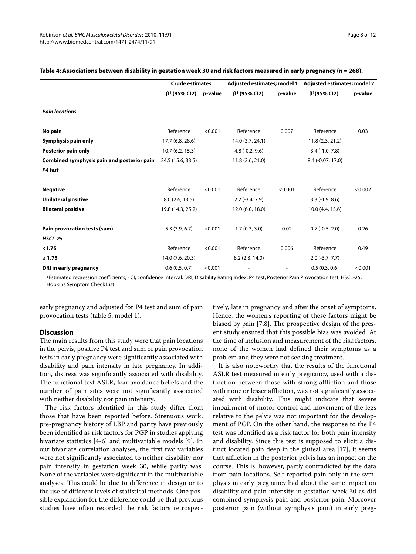|                                            | <b>Crude estimates</b>         |         | Adjusted estimates; model 1    |         | <b>Adjusted estimates; model 2</b> |         |
|--------------------------------------------|--------------------------------|---------|--------------------------------|---------|------------------------------------|---------|
|                                            | $\beta$ <sup>1</sup> (95% Cl2) | p-value | $\beta$ <sup>1</sup> (95% Cl2) | p-value | $\beta$ <sup>1</sup> (95% Cl2)     | p-value |
| <b>Pain locations</b>                      |                                |         |                                |         |                                    |         |
| No pain                                    | Reference                      | < 0.001 | Reference                      | 0.007   | Reference                          | 0.03    |
| Symphysis pain only                        | 17.7 (6.8, 28.6)               |         | 14.0 (3.7, 24.1)               |         | 11.8(2.3, 21.2)                    |         |
| <b>Posterior pain only</b>                 | 10.7(6.2, 15.3)                |         | $4.8(-0.2, 9.6)$               |         | $3.4 (-1.0, 7.8)$                  |         |
| Combined symphysis pain and posterior pain | 24.5 (15.6, 33.5)              |         | 11.8(2.6, 21.0)                |         | 8.4 (-0.07, 17.0)                  |         |
| P4 test                                    |                                |         |                                |         |                                    |         |
| <b>Negative</b>                            | Reference                      | < 0.001 | Reference                      | < 0.001 | Reference                          | < 0.002 |
| <b>Unilateral positive</b>                 | 8.0(2.6, 13.5)                 |         | $2.2$ (-3.4, 7.9)              |         | $3.3(-1.9, 8.6)$                   |         |
| <b>Bilateral positive</b>                  | 19.8 (14.3, 25.2)              |         | 12.0(6.0, 18.0)                |         | 10.0 (4.4, 15.6)                   |         |
| Pain provocation tests (sum)               | 5.3(3.9, 6.7)                  | < 0.001 | 1.7(0.3, 3.0)                  | 0.02    | $0.7(-0.5, 2.0)$                   | 0.26    |
| <b>HSCL-25</b>                             |                                |         |                                |         |                                    |         |
| < 1.75                                     | Reference                      | < 0.001 | Reference                      | 0.006   | Reference                          | 0.49    |
| $\geq 1.75$                                | 14.0 (7.6, 20.3)               |         | 8.2(2.3, 14.0)                 |         | $2.0$ (-3.7, 7.7)                  |         |
| DRI in early pregnancy                     | 0.6(0.5, 0.7)                  | < 0.001 |                                |         | 0.5(0.3, 0.6)                      | < 0.001 |

# **Table 4: Associations between disability in gestation week 30 and risk factors measured in early pregnancy (n = 268).**

<sup>1</sup>Estimated regression coefficients, <sup>2</sup> CI, confidence interval. DRI, Disability Rating Index; P4 test, Posterior Pain Provocation test; HSCL-25, Hopkins Symptom Check List

early pregnancy and adjusted for P4 test and sum of pain provocation tests (table 5, model 1).

#### **Discussion**

The main results from this study were that pain locations in the pelvis, positive P4 test and sum of pain provocation tests in early pregnancy were significantly associated with disability and pain intensity in late pregnancy. In addition, distress was significantly associated with disability. The functional test ASLR, fear avoidance beliefs and the number of pain sites were not significantly associated with neither disability nor pain intensity.

The risk factors identified in this study differ from those that have been reported before. Strenuous work, pre-pregnancy history of LBP and parity have previously been identified as risk factors for PGP in studies applying bivariate statistics [[4-](#page-10-2)[6](#page-10-7)] and multivariable models [\[9](#page-10-3)]. In our bivariate correlation analyses, the first two variables were not significantly associated to neither disability nor pain intensity in gestation week 30, while parity was. None of the variables were significant in the multivariable analyses. This could be due to difference in design or to the use of different levels of statistical methods. One possible explanation for the difference could be that previous studies have often recorded the risk factors retrospec-

tively, late in pregnancy and after the onset of symptoms. Hence, the women's reporting of these factors might be biased by pain [[7,](#page-10-6)[8\]](#page-10-4). The prospective design of the present study ensured that this possible bias was avoided. At the time of inclusion and measurement of the risk factors, none of the women had defined their symptoms as a problem and they were not seeking treatment.

It is also noteworthy that the results of the functional ASLR test measured in early pregnancy, used with a distinction between those with strong affliction and those with none or lesser affliction, was not significantly associated with disability. This might indicate that severe impairment of motor control and movement of the legs relative to the pelvis was not important for the development of PGP. On the other hand, the response to the P4 test was identified as a risk factor for both pain intensity and disability. Since this test is supposed to elicit a distinct located pain deep in the gluteal area [\[17\]](#page-10-13), it seems that affliction in the posterior pelvis has an impact on the course. This is, however, partly contradicted by the data from pain locations. Self-reported pain only in the symphysis in early pregnancy had about the same impact on disability and pain intensity in gestation week 30 as did combined symphysis pain and posterior pain. Moreover posterior pain (without symphysis pain) in early preg-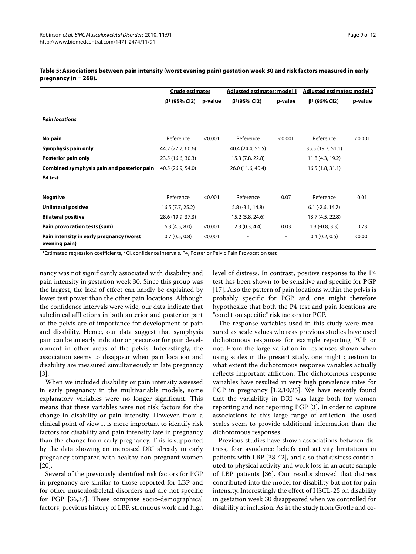|                                                           | <b>Crude estimates</b>         |         | Adjusted estimates; model 1    |         | <b>Adjusted estimates; model 2</b> |         |
|-----------------------------------------------------------|--------------------------------|---------|--------------------------------|---------|------------------------------------|---------|
|                                                           | $\beta$ <sup>1</sup> (95% Cl2) | p-value | $\beta$ <sup>1</sup> (95% Cl2) | p-value | $\beta$ <sup>1</sup> (95% Cl2)     | p-value |
| <b>Pain locations</b>                                     |                                |         |                                |         |                                    |         |
| No pain                                                   | Reference                      | < 0.001 | Reference                      | < 0.001 | Reference                          | < 0.001 |
| Symphysis pain only                                       | 44.2 (27.7, 60.6)              |         | 40.4 (24.4, 56.5)              |         | 35.5 (19.7, 51.1)                  |         |
| <b>Posterior pain only</b>                                | 23.5 (16.6, 30.3)              |         | 15.3 (7.8, 22.8)               |         | 11.8 (4.3, 19.2)                   |         |
| Combined symphysis pain and posterior pain                | 40.5 (26.9, 54.0)              |         | 26.0 (11.6, 40.4)              |         | 16.5(1.8, 31.1)                    |         |
| P4 test                                                   |                                |         |                                |         |                                    |         |
| <b>Negative</b>                                           | Reference                      | < 0.001 | Reference                      | 0.07    | Reference                          | 0.01    |
| <b>Unilateral positive</b>                                | 16.5 (7.7, 25.2)               |         | $5.8(-3.1, 14.8)$              |         | $6.1$ (-2.6, 14.7)                 |         |
| <b>Bilateral positive</b>                                 | 28.6 (19.9, 37.3)              |         | 15.2 (5.8, 24.6)               |         | 13.7 (4.5, 22.8)                   |         |
| Pain provocation tests (sum)                              | 6.3(4.5, 8.0)                  | < 0.001 | 2.3(0.3, 4.4)                  | 0.03    | $1.3(-0.8, 3.3)$                   | 0.23    |
| Pain intensity in early pregnancy (worst<br>evening pain) | 0.7(0.5, 0.8)                  | < 0.001 |                                |         | 0.4(0.2, 0.5)                      | < 0.001 |

# **Table 5: Associations between pain intensity (worst evening pain) gestation week 30 and risk factors measured in early pregnancy (n = 268).**

1Estimated regression coefficients, 2 CI, confidence intervals. P4, Posterior Pelvic Pain Provocation test

nancy was not significantly associated with disability and pain intensity in gestation week 30. Since this group was the largest, the lack of effect can hardly be explained by lower test power than the other pain locations. Although the confidence intervals were wide, our data indicate that subclinical afflictions in both anterior and posterior part of the pelvis are of importance for development of pain and disability. Hence, our data suggest that symphysis pain can be an early indicator or precursor for pain development in other areas of the pelvis. Interestingly, the association seems to disappear when pain location and disability are measured simultaneously in late pregnancy [[3\]](#page-10-1).

When we included disability or pain intensity assessed in early pregnancy in the multivariable models, some explanatory variables were no longer significant. This means that these variables were not risk factors for the change in disability or pain intensity. However, from a clinical point of view it is more important to identify risk factors for disability and pain intensity late in pregnancy than the change from early pregnancy. This is supported by the data showing an increased DRI already in early pregnancy compared with healthy non-pregnant women [[20\]](#page-10-17).

Several of the previously identified risk factors for PGP in pregnancy are similar to those reported for LBP and for other musculoskeletal disorders and are not specific for PGP [[36,](#page-10-34)[37\]](#page-10-35). These comprise socio-demographical factors, previous history of LBP, strenuous work and high level of distress. In contrast, positive response to the P4 test has been shown to be sensitive and specific for PGP [[17\]](#page-10-13). Also the pattern of pain locations within the pelvis is probably specific for PGP, and one might therefore hypothesize that both the P4 test and pain locations are "condition specific" risk factors for PGP.

The response variables used in this study were measured as scale values whereas previous studies have used dichotomous responses for example reporting PGP or not. From the large variation in responses shown when using scales in the present study, one might question to what extent the dichotomous response variables actually reflects important affliction. The dichotomous response variables have resulted in very high prevalence rates for PGP in pregnancy [\[1](#page-10-0),[2](#page-10-18),[10,](#page-10-5)[25\]](#page-10-23). We have recently found that the variability in DRI was large both for women reporting and not reporting PGP [[3\]](#page-10-1). In order to capture associations to this large range of affliction, the used scales seem to provide additional information than the dichotomous responses.

Previous studies have shown associations between distress, fear avoidance beliefs and activity limitations in patients with LBP [\[38](#page-10-36)-[42](#page-10-37)], and also that distress contributed to physical activity and work loss in an acute sample of LBP patients [[36\]](#page-10-34). Our results showed that distress contributed into the model for disability but not for pain intensity. Interestingly the effect of HSCL-25 on disability in gestation week 30 disappeared when we controlled for disability at inclusion. As in the study from Grotle and co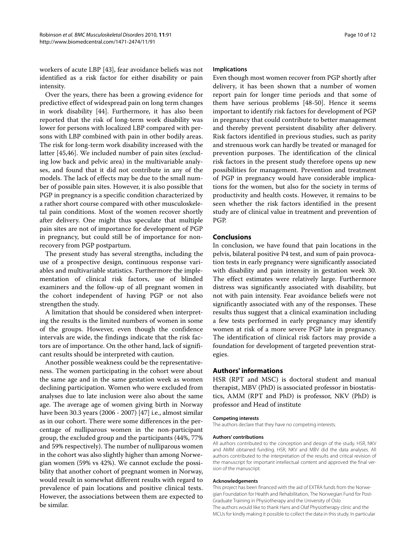workers of acute LBP [\[43](#page-10-38)], fear avoidance beliefs was not identified as a risk factor for either disability or pain intensity.

Over the years, there has been a growing evidence for predictive effect of widespread pain on long term changes in work disability [\[44](#page-10-39)]. Furthermore, it has also been reported that the risk of long-term work disability was lower for persons with localized LBP compared with persons with LBP combined with pain in other bodily areas. The risk for long-term work disability increased with the latter [\[45](#page-11-0)[,46](#page-11-1)]. We included number of pain sites (excluding low back and pelvic area) in the multivariable analyses, and found that it did not contribute in any of the models. The lack of effects may be due to the small number of possible pain sites. However, it is also possible that PGP in pregnancy is a specific condition characterized by a rather short course compared with other musculoskeletal pain conditions. Most of the women recover shortly after delivery. One might thus speculate that multiple pain sites are not of importance for development of PGP in pregnancy, but could still be of importance for nonrecovery from PGP postpartum.

The present study has several strengths, including the use of a prospective design, continuous response variables and multivariable statistics. Furthermore the implementation of clinical risk factors, use of blinded examiners and the follow-up of all pregnant women in the cohort independent of having PGP or not also strengthen the study.

A limitation that should be considered when interpreting the results is the limited numbers of women in some of the groups. However, even though the confidence intervals are wide, the findings indicate that the risk factors are of importance. On the other hand, lack of significant results should be interpreted with caution.

Another possible weakness could be the representativeness. The women participating in the cohort were about the same age and in the same gestation week as women declining participation. Women who were excluded from analyses due to late inclusion were also about the same age. The average age of women giving birth in Norway have been 30.3 years (2006 - 2007) [\[47](#page-11-2)] i.e., almost similar as in our cohort. There were some differences in the percentage of nulliparous women in the non-participant group, the excluded group and the participants (44%, 77% and 59% respectively). The number of nulliparous women in the cohort was also slightly higher than among Norwegian women (59% vs 42%). We cannot exclude the possibility that another cohort of pregnant women in Norway, would result in somewhat different results with regard to prevalence of pain locations and positive clinical tests. However, the associations between them are expected to be similar.

#### **Implications**

Even though most women recover from PGP shortly after delivery, it has been shown that a number of women report pain for longer time periods and that some of them have serious problems [[48-](#page-11-3)[50](#page-11-4)]. Hence it seems important to identify risk factors for development of PGP in pregnancy that could contribute to better management and thereby prevent persistent disability after delivery. Risk factors identified in previous studies, such as parity and strenuous work can hardly be treated or managed for prevention purposes. The identification of the clinical risk factors in the present study therefore opens up new possibilities for management. Prevention and treatment of PGP in pregnancy would have considerable implications for the women, but also for the society in terms of productivity and health costs. However, it remains to be seen whether the risk factors identified in the present study are of clinical value in treatment and prevention of PGP.

# **Conclusions**

In conclusion, we have found that pain locations in the pelvis, bilateral positive P4 test, and sum of pain provocation tests in early pregnancy were significantly associated with disability and pain intensity in gestation week 30. The effect estimates were relatively large. Furthermore distress was significantly associated with disability, but not with pain intensity. Fear avoidance beliefs were not significantly associated with any of the responses. These results thus suggest that a clinical examination including a few tests performed in early pregnancy may identify women at risk of a more severe PGP late in pregnancy. The identification of clinical risk factors may provide a foundation for development of targeted prevention strategies.

#### **Authors' informations**

HSR (RPT and MSC) is doctoral student and manual therapist, MBV (PhD) is associated professor in biostatistics, AMM (RPT and PhD) is professor, NKV (PhD) is professor and Head of institute

#### **Competing interests**

The authors declare that they have no competing interests.

#### **Authors' contributions**

All authors contributed to the conception and design of the study. HSR, NKV and AMM obtained funding. HSR, NKV and MBV did the data analyses. All authors contributed to the interpretation of the results and critical revision of the manuscript for important intellectual content and approved the final version of the manuscript.

#### **Acknowledgements**

This project has been financed with the aid of EXTRA funds from the Norwegian Foundation for Health and Rehabilitation, The Norwegian Fund for Post-Graduate Training in Physiotherapy and the University of Oslo The authors would like to thank Hans and Olaf Physiotherapy clinic and the MCUs for kindly making it possible to collect the data in this study. In particular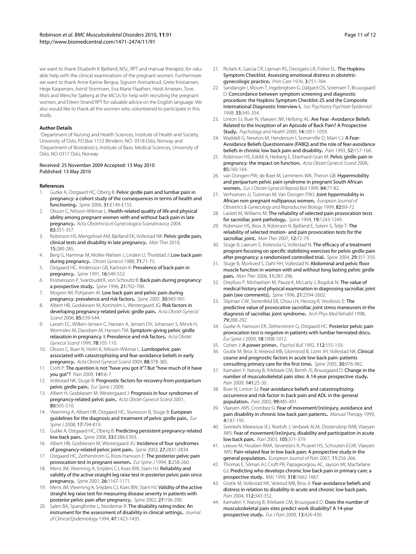we want to thank Elisabeth K Bjelland, MSc, RPT and manual therapist, for valuable help with the clinical examinations of the pregnant women. Furthermore we want to thank Anne Karine Bergva, Sigrunn Anmarkrud, Grete Kristiansen, Hege Kaspersen, Astrid Stormoen, Eva Marie Flaathen, Heidi Arnesen, Tove Mols and Wenche Sjøberg at the MCUs for help with recruiting the pregnant women, and Eileen Strand RPT for valuable advice on the English language. We also would like to thank all the women who volunteered to participate in this study.

#### **Author Details**

1Department of Nursing and Health Sciences, Institute of Health and Society, University of Oslo, P.O.Box 1153 Blindern, NO- 0318 Oslo, Norway and 2Department of Biostatistics, Institute of Basic Medical Sciences, University of Oslo, NO-0317 Oslo, Norway

#### Received: 25 November 2009 Accepted: 13 May 2010 Published: 13 May 2010

#### **References**

- <span id="page-10-0"></span>1. Gutke A, Ostgaard HC, Oberg B: Pelvic girdle pain and lumbar pain in pregnancy: a cohort study of the consequences in terms of health and functioning**.** Spine 2006, 31:E149-E155.
- <span id="page-10-18"></span>2. Olsson C, Nilsson-Wikmar L: Health-related quality of life and physical ability among pregnant women with and without back pain in late pregnancy**.** Acta Obstetricia et Gynecologica Scandinavica 2004, 83:351-357.
- <span id="page-10-1"></span>3. Robinson HS, Mengshoel AM, Bjelland EK, Vollestad NK: Pelvic girdle pain, clinical tests and disability in late pregnancy**[.](http://www.ncbi.nlm.nih.gov/entrez/query.fcgi?cmd=Retrieve&db=PubMed&dopt=Abstract&list_uids=20117040)** Man Ther 2010, 15:280-285.
- <span id="page-10-2"></span>4. Berg G, Hammar M, Moller-Nielsen J, Linden U, Thorblad J: Low back pain during pregnancy**.** Obstet Gynecol 1988, 71:71-75.
- 5. Ostgaard HC, Andersson GB, Karlsson K: Prevalence of back pain in pregnancy**.** Spine 1991, 16:549-552.
- <span id="page-10-7"></span>6. Kristiansson P, Svardsudd K, von Schoultz B: Back pain during pregnancy: a prospective study**[.](http://www.ncbi.nlm.nih.gov/entrez/query.fcgi?cmd=Retrieve&db=PubMed&dopt=Abstract&list_uids=8882692)** Spine 1996, 21:702-709.
- <span id="page-10-6"></span>7. Mogren IM, Pohjanen AI: Low back pain and pelvic pain during pregnancy: prevalence and risk factors**[.](http://www.ncbi.nlm.nih.gov/entrez/query.fcgi?cmd=Retrieve&db=PubMed&dopt=Abstract&list_uids=15834344)** Spine 2005, 30:983-991.
- <span id="page-10-4"></span>8. Albert HB, Godskesen M, Korsholm L, Westergaard JG: Risk factors in developing pregnancy-related pelvic girdle pain**[.](http://www.ncbi.nlm.nih.gov/entrez/query.fcgi?cmd=Retrieve&db=PubMed&dopt=Abstract&list_uids=16752231)** Acta Obstet Gynecol Scand 2006, 85:539-544.
- <span id="page-10-3"></span>9. Larsen EC, Wilken-Jensen C, Hansen A, Jensen DV, Johansen S, Minck H, Wormslev M, Davidsen M, Hansen TM: Symptom-giving pelvic girdle relaxation in pregnancy. I: Prevalence and risk factors**.** Acta Obstet Gynecol Scand 1999, 78:105-110.
- <span id="page-10-5"></span>10. Olsson C, Buer N, Holm K, Nilsson-Wikmar L: Lumbopelvic pain associated with catastrophizing and fear-avoidance beliefs in early pregnancy**.** Acta Obstet Gynecol Scand 2009, 88:378-385.
- <span id="page-10-8"></span>11. Croft P: The question is not "have you got it"? But "how much of it have you got"? Pain 2009, 141:6-7.
- <span id="page-10-9"></span>12. Vollestad NK, Stuge B: Prognostic factors for recovery from postpartum pelvic girdle pain**.** Eur Spine J 2009.
- <span id="page-10-10"></span>13. Albert H, Godskesen M, Westergaard J: Prognosis in four syndromes of pregnancy-related pelvic pain**.** Acta Obstet Gynecol Scand 2001, 80:505-510.
- <span id="page-10-11"></span>14. Vleeming A, Albert HB, Ostgaard HC, Sturesson B, Stuge B: European guidelines for the diagnosis and treatment of pelvic girdle pain**.** Eur Spine J 2008, 17:794-819.
- <span id="page-10-12"></span>15. Gutke A, Ostgaard HC, Oberg B: Predicting persistent pregnancy-related low back pain**.** Spine 2008, 33:E386-E393.
- <span id="page-10-16"></span>16. Albert HB, Godskesen M, Westergaard JG: Incidence of four syndromes of pregnancy-related pelvic joint pain**.** Spine 2002, 27:2831-2834.
- <span id="page-10-13"></span>17. Ostgaard HC, Zetherstrom G, Roos-Hansson E: The posterior pelvic pain provocation test in pregnant women**.** Eur Spine J 1994, 3:258-260.
- <span id="page-10-14"></span>18. Mens JM, Vleeming A, Snijders CJ, Koes BW, Stam HJ: Reliability and validity of the active straight leg raise test in posterior pelvic pain since pregnancy**.** Spine 2001, 26:1167-1171.
- <span id="page-10-15"></span>19. Mens JM, Vleeming A, Snijders CJ, Koes BW, Stam HJ: Validity of the active straight leg raise test for measuring disease severity in patients with posterior pelvic pain after pregnancy**.** Spine 2002, 27:196-200.
- <span id="page-10-17"></span>20. Salen BA, Spangfortke L, Nordemar R: The disability rating index: An instrument for the assessment of disability in clinical settings**[.](http://www.ncbi.nlm.nih.gov/entrez/query.fcgi?cmd=Retrieve&db=PubMed&dopt=Abstract&list_uids=7730851)** Journal of Clinical Epidemiology 1994, 47:1423-1435.
- <span id="page-10-19"></span>21. Rickels K, Garcia CR, Lipman RS, Derogatis LR, Fisher EL: The Hopkins Symptom Checklist. Assessing emotional distress in obstetricgynecologic practice**.** Prim Care 1976, 3:751-764.
- <span id="page-10-20"></span>22. Sandanger I, Moum T, Ingebrigtsen G, Dalgard OS, Sorensen T, Bruusgaard D: Concordance between symptom screening and diagnostic procedure: the Hopkins Symptom Checklist-25 and the Composite International Diagnostic Interview I**[.](http://www.ncbi.nlm.nih.gov/entrez/query.fcgi?cmd=Retrieve&db=PubMed&dopt=Abstract&list_uids=9689897)** Soc Psychiatry Psychiatr Epidemiol 1998, 33:345-354.
- <span id="page-10-21"></span>23. Linton SJ, Buer N, Vlaeyen JW, Hellsing AL: Are Fear -Avoidance Beliefs Related to the Inception of an Apisode of Back Pain? A Prospective Study**.** Psychology and Health 2000, 14:1051-1059.
- <span id="page-10-22"></span>24. Waddell G, Newton M, Henderson I, Somerville D, Main CJ: A Fear-Avoidance Beliefs Questionnaire (FABQ) and the role of fear-avoidance beliefs in chronic low back pain and disability**[.](http://www.ncbi.nlm.nih.gov/entrez/query.fcgi?cmd=Retrieve&db=PubMed&dopt=Abstract&list_uids=8455963)** Pain 1993, 52:157-168.
- <span id="page-10-23"></span>25. Robinson HS, Eskild A, Heiberg E, Eberhard-Gran M: Pelvic girdle pain in pregnancy: the impact on function**.** Acta Obstet Gynecol Scand 2006, 85:160-164.
- <span id="page-10-24"></span>26. van Dongen PW, de Boer M, Lemmens WA, Theron GB: Hypermobility and peripartum pelvic pain syndrome in pregnant South African women**[.](http://www.ncbi.nlm.nih.gov/entrez/query.fcgi?cmd=Retrieve&db=PubMed&dopt=Abstract&list_uids=10413232)** Eur J Obstet Gynecol Reprod Biol 1999, 84:77-82.
- <span id="page-10-25"></span>27. Verhoeven JJ, Tuinman M, Van Dongen PWJ: Joint hypermobility in African non-pregnant nulliparous women**.** European Journal of Obstetrics & Gynecology and Reproductive Biology 1999, 82:69-72.
- <span id="page-10-26"></span>28. Laslett M, Williams M: The reliability of selected pain provocation tests for sacroiliac joint pathology**.** Spine 1994, 19:1243-1249.
- <span id="page-10-27"></span>29. Robinson HS, Brox JI, Robinson R, Bjelland E, Solem S, Telje T: The reliability of selected motion- and pain provocation tests for the sacroiliac joint**.** Man Ther 2007, 12:72-79.
- <span id="page-10-28"></span>30. Stuge B, Laerum E, Kirkesola G, Vollestad N: The efficacy of a treatment program focusing on specific stabilizing exercises for pelvic girdle pain after pregnancy: a randomized controlled trial**.** Spine 2004, 29:351-359.
- <span id="page-10-29"></span>31. Stuge B, Morkved S, Dahl HH, Vollestad N: Abdominal and pelvic floor muscle function in women with and without long lasting pelvic girdle pain**[.](http://www.ncbi.nlm.nih.gov/entrez/query.fcgi?cmd=Retrieve&db=PubMed&dopt=Abstract&list_uids=16386450)** Man Ther 2006, 11:287-296.
- <span id="page-10-30"></span>32. Dreyfuss P, Michaelsen M, Pauza K, McLarty J, Bogduk N: The value of medical history and physical examination in diagnosing sacroiliac joint pain [see comments]**.** Spine 1996, 21:2594-2602.
- <span id="page-10-31"></span>33. Slipman CW, Sterenfeld EB, Chou LH, Herzog R, Vresilovic E: The predictive value of provocative sacroiliac joint stress maneuvers in the diagnosis of sacroiliac joint syndrome**[.](http://www.ncbi.nlm.nih.gov/entrez/query.fcgi?cmd=Retrieve&db=PubMed&dopt=Abstract&list_uids=9523780)** Arch Phys Med Rehabil 1998, 79:288-292.
- <span id="page-10-32"></span>34. Gutke A, Hansson ER, Zetherstrom G, Ostgaard HC: Posterior pelvic pain provocation test is negative in patients with lumbar herniated discs**.** Eur Spine J 2009, 18:1008-1012.
- <span id="page-10-33"></span>35. Cohen J: A power primer**[.](http://www.ncbi.nlm.nih.gov/entrez/query.fcgi?cmd=Retrieve&db=PubMed&dopt=Abstract&list_uids=19565683)** Psychol Bull 1992, 112:155-159.
- <span id="page-10-34"></span>36. Grotle M, Brox JI, Veierod MB, Glomsrod B, Lonn JH, Vollestad NK: Clinical course and prognostic factors in acute low back pain: patients consulting primary care for the first time**.** Spine 2005, 30:976-982.
- <span id="page-10-35"></span>37. Kamaleri Y, Natvig B, Ihlebaek CM, Benth JS, Bruusgaard D: Change in the number of musculoskeletal pain sites: A 14-year prospective study**.** Pain 2009, 141:25-30.
- <span id="page-10-36"></span>38. Buer N, Linton SJ: Fear-avoidance beliefs and catastrophizing: occurrence and risk factor in back pain and ADL in the general population**[.](http://www.ncbi.nlm.nih.gov/entrez/query.fcgi?cmd=Retrieve&db=PubMed&dopt=Abstract&list_uids=12406524)** Pain 2002, 99:485-491.
- 39. Vlaeyen JWS, Crombez G: Fear of movement/(re)injury, avoidance and pain disability in chronic low back pain patients**.** Manual Therapy 1999, 4:187-195.
- 40. Swinkels-Meewisse IEJ, Roelofs J, Verbeek ALM, Oostendorp RAB, Vlaeyen JWS: Fear of movement/(re)injury, disability and participation in acute low back pain**.** Pain 2003, 105:371-379.
- 41. Leeuw M, Houben RMA, Severeijns R, Picavet HS, Schouten EGW, Vlaeyen JWS: Pain-related fear in low back pain: A prospective study in the general population**.** European Journal of Pain 2007, 11:256-266.
- <span id="page-10-37"></span>42. Thomas E, Silman AJ, Croft PR, Papageorgiou AC, Jayson MI, Macfarlane GJ: Predicting who develops chronic low back pain in primary care: a prospective study**[.](http://www.ncbi.nlm.nih.gov/entrez/query.fcgi?cmd=Retrieve&db=PubMed&dopt=Abstract&list_uids=10373170)** BMJ 1999, 318:1662-1667.
- <span id="page-10-38"></span>43. Grotle M, Vollestad NK, Veierod MB, Brox JI: Fear-avoidance beliefs and distress in relation to disability in acute and chronic low back pain**.** Pain 2004, 112:343-352.
- <span id="page-10-39"></span>44. Kamaleri Y, Natvig B, Ihlebaek CM, Bruusgaard D: Does the number of musculoskeletal pain sites predict work disability? A 14-year prospective study**[.](http://www.ncbi.nlm.nih.gov/entrez/query.fcgi?cmd=Retrieve&db=PubMed&dopt=Abstract&list_uids=18599328)** Eur J Pain 2009, 13:426-430.